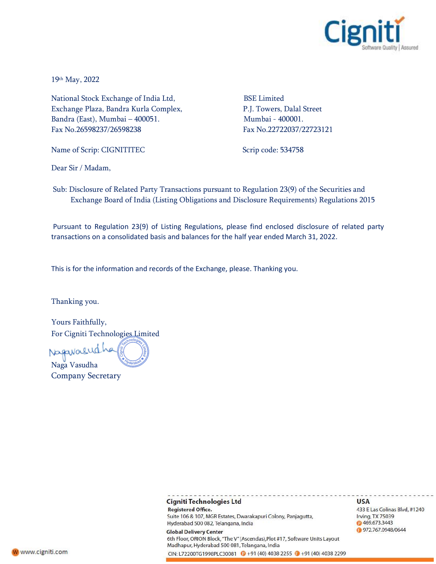

19th May, 2022

National Stock Exchange of India Ltd, BSE Limited Exchange Plaza, Bandra Kurla Complex, P.J. Towers, Dalal Street Bandra (East), Mumbai – 400051. Mumbai - 400001. Fax No.26598237/26598238 Fax No.22722037/22723121

Name of Scrip: CIGNITITEC Scrip code: 534758

Dear Sir / Madam,

Sub: Disclosure of Related Party Transactions pursuant to Regulation 23(9) of the Securities and Exchange Board of India (Listing Obligations and Disclosure Requirements) Regulations 2015

Pursuant to Regulation 23(9) of Listing Regulations, please find enclosed disclosure of related party transactions on a consolidated basis and balances for the half year ended March 31, 2022.

This is for the information and records of the Exchange, please. Thanking you.

Thanking you.

Yours Faithfully, For Cigniti Technologies Limited

Nagavalud Naga Vasudha

Company Secretary

## Cigniti Technologies Ltd **USA Registered Office.** 433 E Las Colinas Blvd, #1240 Suite 106 & 107, MGR Estates, Dwarakapuri Colony, Panjagutta, Irving, TX 75039 Hyderabad 500 082, Telangana, India ◎ 469.673.3443 972.767.0948/0644 **Global Delivery Center** 6th Floor, ORION Block, "The V" (Ascendas), Plot #17, Software Units Layout Madhapur, Hyderabad 500 081, Telangana, India CIN: L72200TG1998PLC30081 2+91 (40) 4038 2255 2+91 (40) 4038 2299

W www.cigniti.com